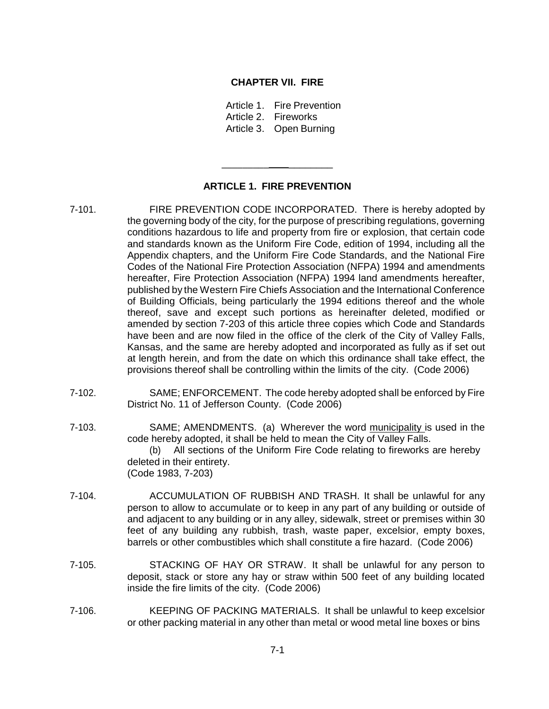#### **CHAPTER VII. FIRE**

Article 1. Fire Prevention Article 2. Fireworks Article 3. Open Burning

## **ARTICLE 1. FIRE PREVENTION**

\_\_\_\_\_\_\_\_\_ \_\_\_\_\_\_\_\_

- 7-101. FIRE PREVENTION CODE INCORPORATED. There is hereby adopted by the governing body of the city, for the purpose of prescribing regulations, governing conditions hazardous to life and property from fire or explosion, that certain code and standards known as the Uniform Fire Code, edition of 1994, including all the Appendix chapters, and the Uniform Fire Code Standards, and the National Fire Codes of the National Fire Protection Association (NFPA) 1994 and amendments hereafter, Fire Protection Association (NFPA) 1994 land amendments hereafter, published by the Western Fire Chiefs Association and the International Conference of Building Officials, being particularly the 1994 editions thereof and the whole thereof, save and except such portions as hereinafter deleted, modified or amended by section 7-203 of this article three copies which Code and Standards have been and are now filed in the office of the clerk of the City of Valley Falls, Kansas, and the same are hereby adopted and incorporated as fully as if set out at length herein, and from the date on which this ordinance shall take effect, the provisions thereof shall be controlling within the limits of the city. (Code 2006)
- 7-102. SAME; ENFORCEMENT. The code hereby adopted shall be enforced by Fire District No. 11 of Jefferson County. (Code 2006)
- 7-103. SAME; AMENDMENTS. (a) Wherever the word municipality is used in the code hereby adopted, it shall be held to mean the City of Valley Falls. (b) All sections of the Uniform Fire Code relating to fireworks are hereby deleted in their entirety. (Code 1983, 7-203)
- 7-104. ACCUMULATION OF RUBBISH AND TRASH. It shall be unlawful for any person to allow to accumulate or to keep in any part of any building or outside of and adjacent to any building or in any alley, sidewalk, street or premises within 30 feet of any building any rubbish, trash, waste paper, excelsior, empty boxes, barrels or other combustibles which shall constitute a fire hazard. (Code 2006)
- 7-105. STACKING OF HAY OR STRAW. It shall be unlawful for any person to deposit, stack or store any hay or straw within 500 feet of any building located inside the fire limits of the city. (Code 2006)
- 7-106. KEEPING OF PACKING MATERIALS. It shall be unlawful to keep excelsior or other packing material in any other than metal or wood metal line boxes or bins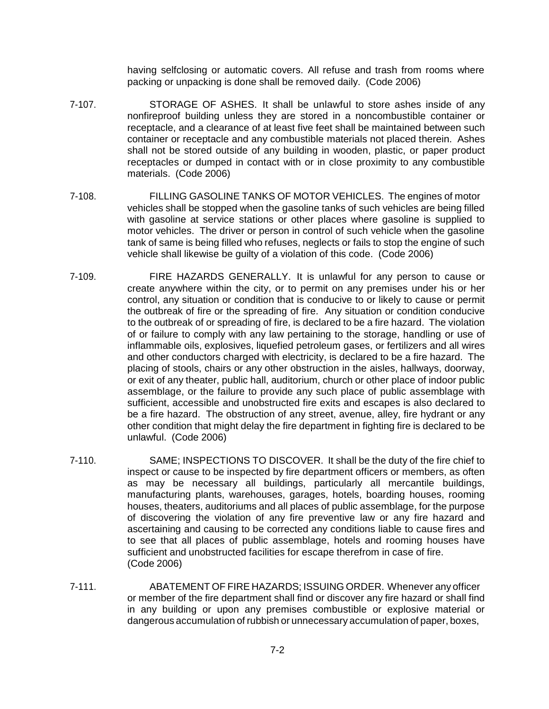having selfclosing or automatic covers. All refuse and trash from rooms where packing or unpacking is done shall be removed daily. (Code 2006)

- 7-107. STORAGE OF ASHES. It shall be unlawful to store ashes inside of any nonfireproof building unless they are stored in a noncombustible container or receptacle, and a clearance of at least five feet shall be maintained between such container or receptacle and any combustible materials not placed therein. Ashes shall not be stored outside of any building in wooden, plastic, or paper product receptacles or dumped in contact with or in close proximity to any combustible materials. (Code 2006)
- 7-108. FILLING GASOLINE TANKS OF MOTOR VEHICLES. The engines of motor vehicles shall be stopped when the gasoline tanks of such vehicles are being filled with gasoline at service stations or other places where gasoline is supplied to motor vehicles. The driver or person in control of such vehicle when the gasoline tank of same is being filled who refuses, neglects or fails to stop the engine of such vehicle shall likewise be guilty of a violation of this code. (Code 2006)
- 7-109. FIRE HAZARDS GENERALLY. It is unlawful for any person to cause or create anywhere within the city, or to permit on any premises under his or her control, any situation or condition that is conducive to or likely to cause or permit the outbreak of fire or the spreading of fire. Any situation or condition conducive to the outbreak of or spreading of fire, is declared to be a fire hazard. The violation of or failure to comply with any law pertaining to the storage, handling or use of inflammable oils, explosives, liquefied petroleum gases, or fertilizers and all wires and other conductors charged with electricity, is declared to be a fire hazard. The placing of stools, chairs or any other obstruction in the aisles, hallways, doorway, or exit of any theater, public hall, auditorium, church or other place of indoor public assemblage, or the failure to provide any such place of public assemblage with sufficient, accessible and unobstructed fire exits and escapes is also declared to be a fire hazard. The obstruction of any street, avenue, alley, fire hydrant or any other condition that might delay the fire department in fighting fire is declared to be unlawful. (Code 2006)
- 7-110. SAME; INSPECTIONS TO DISCOVER. It shall be the duty of the fire chief to inspect or cause to be inspected by fire department officers or members, as often as may be necessary all buildings, particularly all mercantile buildings, manufacturing plants, warehouses, garages, hotels, boarding houses, rooming houses, theaters, auditoriums and all places of public assemblage, for the purpose of discovering the violation of any fire preventive law or any fire hazard and ascertaining and causing to be corrected any conditions liable to cause fires and to see that all places of public assemblage, hotels and rooming houses have sufficient and unobstructed facilities for escape therefrom in case of fire. (Code 2006)
- 7-111. ABATEMENT OF FIRE HAZARDS; ISSUING ORDER. Whenever any officer or member of the fire department shall find or discover any fire hazard or shall find in any building or upon any premises combustible or explosive material or dangerous accumulation of rubbish or unnecessary accumulation of paper, boxes,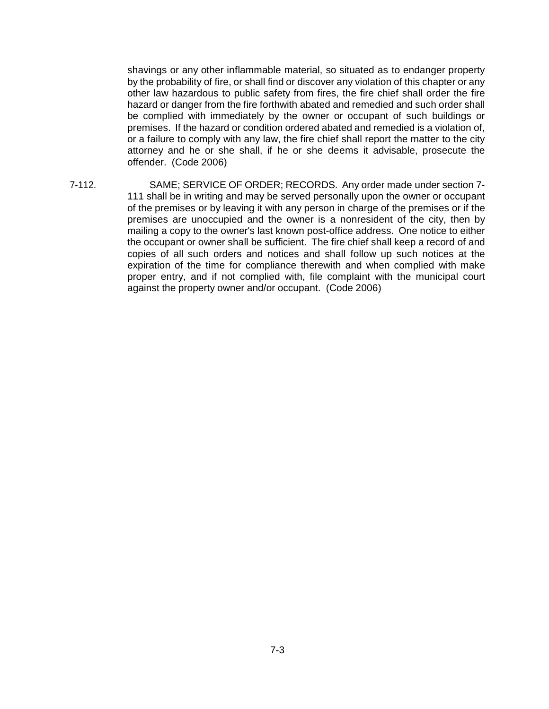shavings or any other inflammable material, so situated as to endanger property by the probability of fire, or shall find or discover any violation of this chapter or any other law hazardous to public safety from fires, the fire chief shall order the fire hazard or danger from the fire forthwith abated and remedied and such order shall be complied with immediately by the owner or occupant of such buildings or premises. If the hazard or condition ordered abated and remedied is a violation of, or a failure to comply with any law, the fire chief shall report the matter to the city attorney and he or she shall, if he or she deems it advisable, prosecute the offender. (Code 2006)

7-112. SAME; SERVICE OF ORDER; RECORDS. Any order made under section 7- 111 shall be in writing and may be served personally upon the owner or occupant of the premises or by leaving it with any person in charge of the premises or if the premises are unoccupied and the owner is a nonresident of the city, then by mailing a copy to the owner's last known post-office address. One notice to either the occupant or owner shall be sufficient. The fire chief shall keep a record of and copies of all such orders and notices and shall follow up such notices at the expiration of the time for compliance therewith and when complied with make proper entry, and if not complied with, file complaint with the municipal court against the property owner and/or occupant. (Code 2006)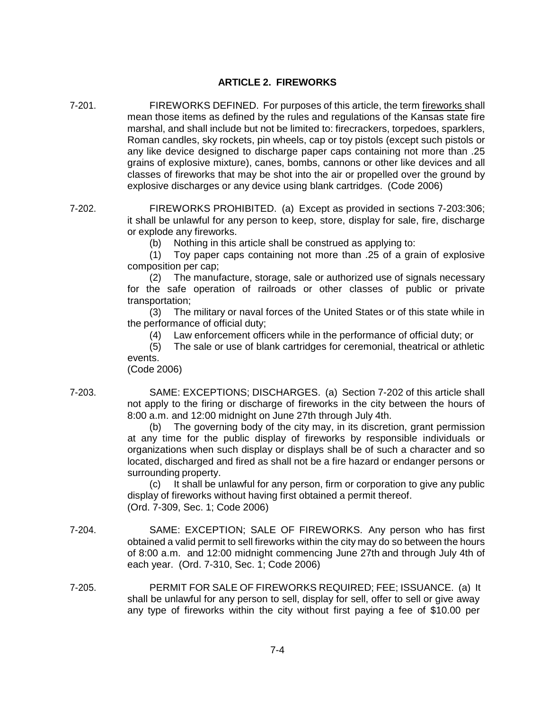## **ARTICLE 2. FIREWORKS**

- 7-201. FIREWORKS DEFINED. For purposes of this article, the term fireworks shall mean those items as defined by the rules and regulations of the Kansas state fire marshal, and shall include but not be limited to: firecrackers, torpedoes, sparklers, Roman candles, sky rockets, pin wheels, cap or toy pistols (except such pistols or any like device designed to discharge paper caps containing not more than .25 grains of explosive mixture), canes, bombs, cannons or other like devices and all classes of fireworks that may be shot into the air or propelled over the ground by explosive discharges or any device using blank cartridges. (Code 2006)
- 7-202. FIREWORKS PROHIBITED. (a) Except as provided in sections 7-203:306; it shall be unlawful for any person to keep, store, display for sale, fire, discharge or explode any fireworks.
	- (b) Nothing in this article shall be construed as applying to:

(1) Toy paper caps containing not more than .25 of a grain of explosive composition per cap;

(2) The manufacture, storage, sale or authorized use of signals necessary for the safe operation of railroads or other classes of public or private transportation;

(3) The military or naval forces of the United States or of this state while in the performance of official duty;

(4) Law enforcement officers while in the performance of official duty; or

(5) The sale or use of blank cartridges for ceremonial, theatrical or athletic events.

(Code 2006)

7-203. SAME: EXCEPTIONS; DISCHARGES. (a) Section 7-202 of this article shall not apply to the firing or discharge of fireworks in the city between the hours of 8:00 a.m. and 12:00 midnight on June 27th through July 4th.

> (b) The governing body of the city may, in its discretion, grant permission at any time for the public display of fireworks by responsible individuals or organizations when such display or displays shall be of such a character and so located, discharged and fired as shall not be a fire hazard or endanger persons or surrounding property.

> (c) It shall be unlawful for any person, firm or corporation to give any public display of fireworks without having first obtained a permit thereof. (Ord. 7-309, Sec. 1; Code 2006)

- 7-204. SAME: EXCEPTION; SALE OF FIREWORKS. Any person who has first obtained a valid permit to sell fireworks within the city may do so between the hours of 8:00 a.m. and 12:00 midnight commencing June 27th and through July 4th of each year. (Ord. 7-310, Sec. 1; Code 2006)
- 7-205. PERMIT FOR SALE OF FIREWORKS REQUIRED; FEE; ISSUANCE. (a) It shall be unlawful for any person to sell, display for sell, offer to sell or give away any type of fireworks within the city without first paying a fee of \$10.00 per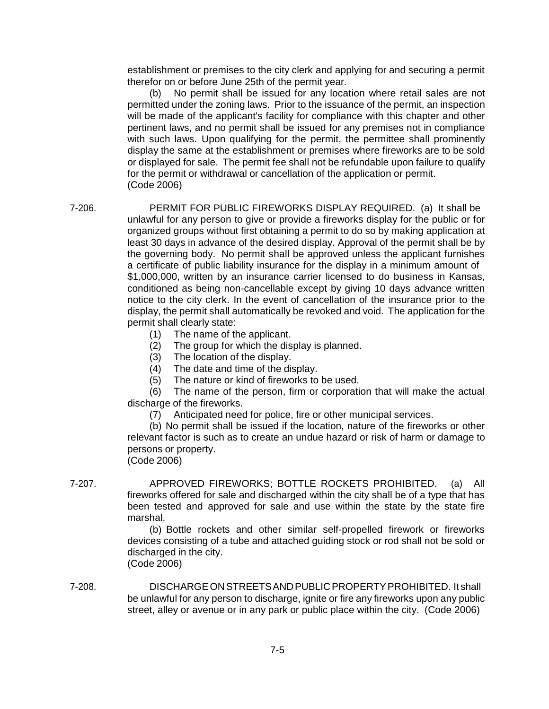establishment or premises to the city clerk and applying for and securing a permit therefor on or before June 25th of the permit year.

(b) No permit shall be issued for any location where retail sales are not permitted under the zoning laws. Prior to the issuance of the permit, an inspection will be made of the applicant's facility for compliance with this chapter and other pertinent laws, and no permit shall be issued for any premises not in compliance with such laws. Upon qualifying for the permit, the permittee shall prominently display the same at the establishment or premises where fireworks are to be sold or displayed for sale. The permit fee shall not be refundable upon failure to qualify for the permit or withdrawal or cancellation of the application or permit. (Code 2006)

7-206. PERMIT FOR PUBLIC FIREWORKS DISPLAY REQUIRED. (a) It shall be unlawful for any person to give or provide a fireworks display for the public or for organized groups without first obtaining a permit to do so by making application at least 30 days in advance of the desired display. Approval of the permit shall be by the governing body. No permit shall be approved unless the applicant furnishes a certificate of public liability insurance for the display in a minimum amount of \$1,000,000, written by an insurance carrier licensed to do business in Kansas, conditioned as being non-cancellable except by giving 10 days advance written notice to the city clerk. In the event of cancellation of the insurance prior to the display, the permit shall automatically be revoked and void. The application for the permit shall clearly state:

- (1) The name of the applicant.
- (2) The group for which the display is planned.
- (3) The location of the display.
- (4) The date and time of the display.
- (5) The nature or kind of fireworks to be used.

(6) The name of the person, firm or corporation that will make the actual discharge of the fireworks.

(7) Anticipated need for police, fire or other municipal services.

(b) No permit shall be issued if the location, nature of the fireworks or other relevant factor is such as to create an undue hazard or risk of harm or damage to persons or property.

(Code 2006)

7-207. APPROVED FIREWORKS; BOTTLE ROCKETS PROHIBITED. (a) All fireworks offered for sale and discharged within the city shall be of a type that has been tested and approved for sale and use within the state by the state fire marshal.

> (b) Bottle rockets and other similar self-propelled firework or fireworks devices consisting of a tube and attached guiding stock or rod shall not be sold or discharged in the city. (Code 2006)

7-208. DISCHARGEONSTREETSANDPUBLICPROPERTYPROHIBITED. It shall be unlawful for any person to discharge, ignite or fire any fireworks upon any public street, alley or avenue or in any park or public place within the city. (Code 2006)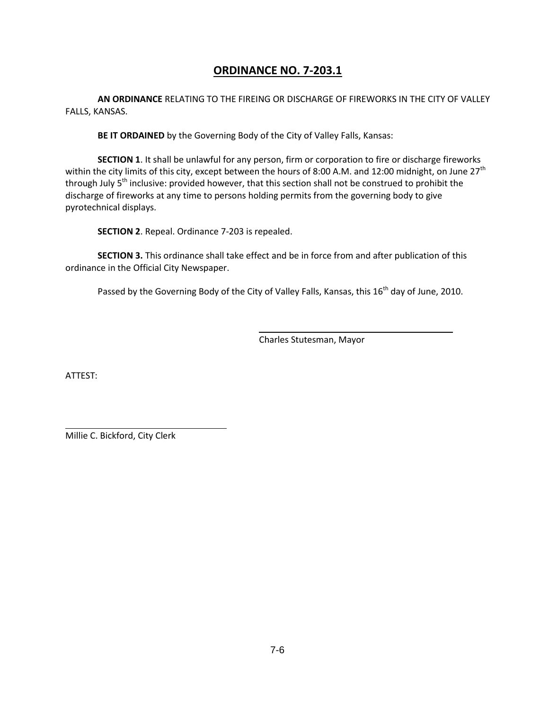# **ORDINANCE NO. 7-203.1**

**AN ORDINANCE** RELATING TO THE FIREING OR DISCHARGE OF FIREWORKS IN THE CITY OF VALLEY FALLS, KANSAS.

**BE IT ORDAINED** by the Governing Body of the City of Valley Falls, Kansas:

**SECTION 1**. It shall be unlawful for any person, firm or corporation to fire or discharge fireworks within the city limits of this city, except between the hours of 8:00 A.M. and 12:00 midnight, on June 27<sup>th</sup> through July 5<sup>th</sup> inclusive: provided however, that this section shall not be construed to prohibit the discharge of fireworks at any time to persons holding permits from the governing body to give pyrotechnical displays.

**SECTION 2**. Repeal. Ordinance 7-203 is repealed.

**SECTION 3.** This ordinance shall take effect and be in force from and after publication of this ordinance in the Official City Newspaper.

Passed by the Governing Body of the City of Valley Falls, Kansas, this 16<sup>th</sup> day of June, 2010.

Charles Stutesman, Mayor

ATTEST:

Millie C. Bickford, City Clerk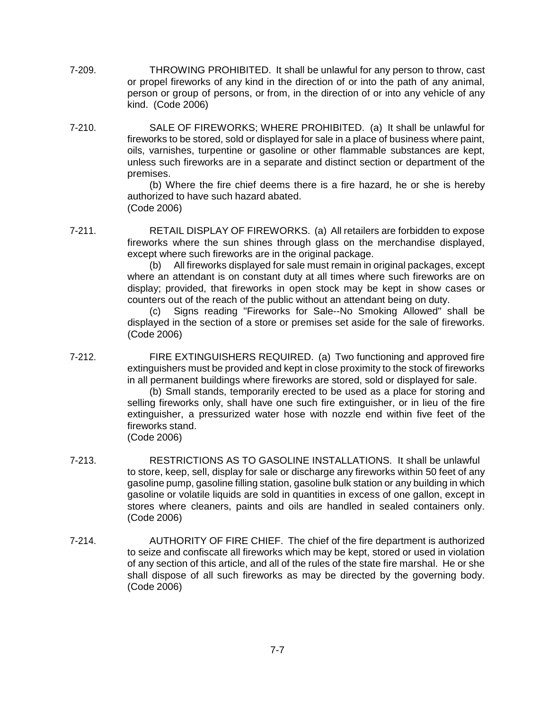- 7-209. THROWING PROHIBITED. It shall be unlawful for any person to throw, cast or propel fireworks of any kind in the direction of or into the path of any animal, person or group of persons, or from, in the direction of or into any vehicle of any kind. (Code 2006)
- 7-210. SALE OF FIREWORKS; WHERE PROHIBITED. (a) It shall be unlawful for fireworks to be stored, sold or displayed for sale in a place of business where paint, oils, varnishes, turpentine or gasoline or other flammable substances are kept, unless such fireworks are in a separate and distinct section or department of the premises.

(b) Where the fire chief deems there is a fire hazard, he or she is hereby authorized to have such hazard abated. (Code 2006)

7-211. RETAIL DISPLAY OF FIREWORKS. (a) All retailers are forbidden to expose fireworks where the sun shines through glass on the merchandise displayed, except where such fireworks are in the original package.

(b) All fireworks displayed for sale must remain in original packages, except where an attendant is on constant duty at all times where such fireworks are on display; provided, that fireworks in open stock may be kept in show cases or counters out of the reach of the public without an attendant being on duty.

(c) Signs reading "Fireworks for Sale--No Smoking Allowed" shall be displayed in the section of a store or premises set aside for the sale of fireworks. (Code 2006)

7-212. FIRE EXTINGUISHERS REQUIRED. (a) Two functioning and approved fire extinguishers must be provided and kept in close proximity to the stock of fireworks in all permanent buildings where fireworks are stored, sold or displayed for sale.

(b) Small stands, temporarily erected to be used as a place for storing and selling fireworks only, shall have one such fire extinguisher, or in lieu of the fire extinguisher, a pressurized water hose with nozzle end within five feet of the fireworks stand.

(Code 2006)

- 7-213. RESTRICTIONS AS TO GASOLINE INSTALLATIONS. It shall be unlawful to store, keep, sell, display for sale or discharge any fireworks within 50 feet of any gasoline pump, gasoline filling station, gasoline bulk station or any building in which gasoline or volatile liquids are sold in quantities in excess of one gallon, except in stores where cleaners, paints and oils are handled in sealed containers only. (Code 2006)
- 7-214. AUTHORITY OF FIRE CHIEF. The chief of the fire department is authorized to seize and confiscate all fireworks which may be kept, stored or used in violation of any section of this article, and all of the rules of the state fire marshal. He or she shall dispose of all such fireworks as may be directed by the governing body. (Code 2006)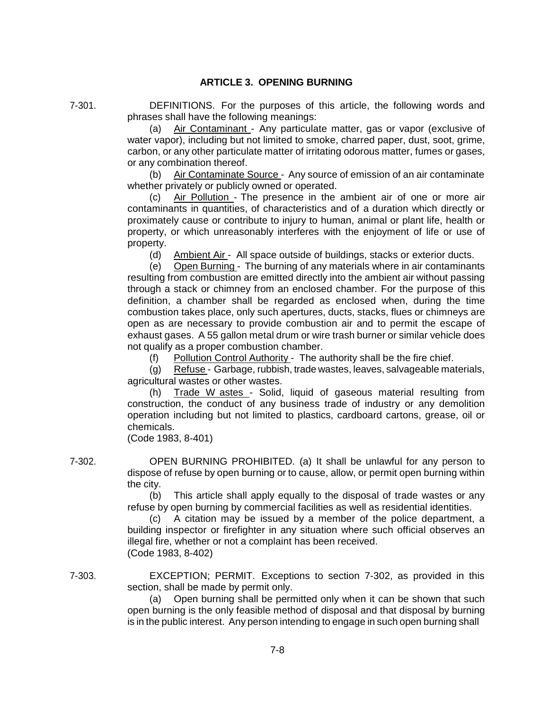### **ARTICLE 3. OPENING BURNING**

7-301. DEFINITIONS. For the purposes of this article, the following words and phrases shall have the following meanings:

> (a) Air Contaminant - Any particulate matter, gas or vapor (exclusive of water vapor), including but not limited to smoke, charred paper, dust, soot, grime, carbon, or any other particulate matter of irritating odorous matter, fumes or gases, or any combination thereof.

> (b) Air Contaminate Source - Any source of emission of an air contaminate whether privately or publicly owned or operated.

> Air Pollution - The presence in the ambient air of one or more air contaminants in quantities, of characteristics and of a duration which directly or proximately cause or contribute to injury to human, animal or plant life, health or property, or which unreasonably interferes with the enjoyment of life or use of property.

(d) Ambient Air - All space outside of buildings, stacks or exterior ducts.

(e) Open Burning - The burning of any materials where in air contaminants resulting from combustion are emitted directly into the ambient air without passing through a stack or chimney from an enclosed chamber. For the purpose of this definition, a chamber shall be regarded as enclosed when, during the time combustion takes place, only such apertures, ducts, stacks, flues or chimneys are open as are necessary to provide combustion air and to permit the escape of exhaust gases. A 55 gallon metal drum or wire trash burner or similar vehicle does not qualify as a proper combustion chamber.

(f) Pollution Control Authority - The authority shall be the fire chief.

(g) Refuse - Garbage, rubbish, trade wastes, leaves, salvageable materials, agricultural wastes or other wastes.

(h) Trade W astes - Solid, liquid of gaseous material resulting from construction, the conduct of any business trade of industry or any demolition operation including but not limited to plastics, cardboard cartons, grease, oil or chemicals.

(Code 1983, 8-401)

7-302. OPEN BURNING PROHIBITED. (a) It shall be unlawful for any person to dispose of refuse by open burning or to cause, allow, or permit open burning within the city.

> (b) This article shall apply equally to the disposal of trade wastes or any refuse by open burning by commercial facilities as well as residential identities.

> (c) A citation may be issued by a member of the police department, a building inspector or firefighter in any situation where such official observes an illegal fire, whether or not a complaint has been received. (Code 1983, 8-402)

7-303. EXCEPTION; PERMIT. Exceptions to section 7-302, as provided in this section, shall be made by permit only.

> (a) Open burning shall be permitted only when it can be shown that such open burning is the only feasible method of disposal and that disposal by burning is in the public interest. Any person intending to engage in such open burning shall